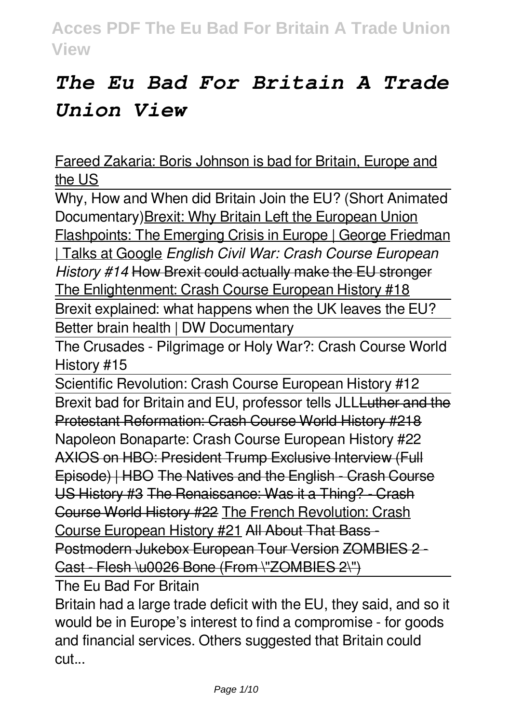# *The Eu Bad For Britain A Trade Union View*

Fareed Zakaria: Boris Johnson is bad for Britain, Europe and the US

Why, How and When did Britain Join the EU? (Short Animated Documentary)Brexit: Why Britain Left the European Union Flashpoints: The Emerging Crisis in Europe | George Friedman | Talks at Google *English Civil War: Crash Course European*

*History #14* How Brexit could actually make the EU stronger

The Enlightenment: Crash Course European History #18

Brexit explained: what happens when the UK leaves the EU? Better brain health | DW Documentary

The Crusades - Pilgrimage or Holy War?: Crash Course World History #15

Scientific Revolution: Crash Course European History #12 Brexit bad for Britain and EU, professor tells JLL Luther and the Protestant Reformation: Crash Course World History #218 Napoleon Bonaparte: Crash Course European History #22 AXIOS on HBO: President Trump Exclusive Interview (Full Episode) | HBO The Natives and the English - Crash Course US History #3 The Renaissance: Was it a Thing? - Crash Course World History #22 The French Revolution: Crash Course European History #21 All About That Bass - Postmodern Jukebox European Tour Version ZOMBIES 2-Cast - Flesh \u0026 Bone (From \"ZOMBIES 2\")

The Eu Bad For Britain

Britain had a large trade deficit with the EU, they said, and so it would be in Europe's interest to find a compromise - for goods and financial services. Others suggested that Britain could cut...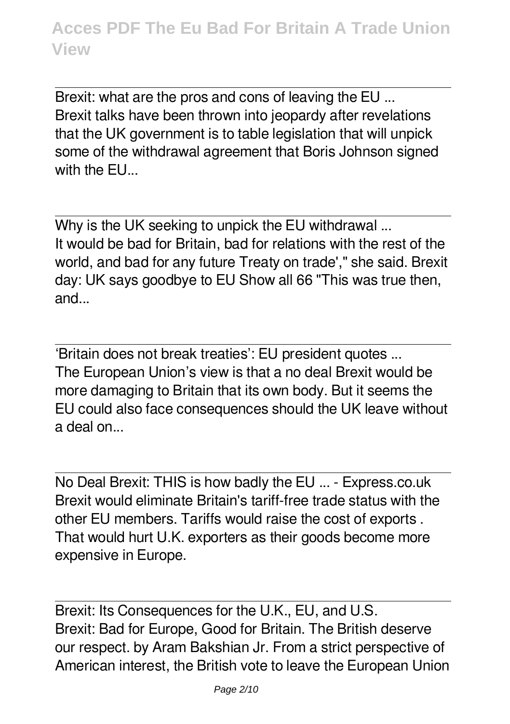Brexit: what are the pros and cons of leaving the EU ... Brexit talks have been thrown into jeopardy after revelations that the UK government is to table legislation that will unpick some of the withdrawal agreement that Boris Johnson signed with the FU.

Why is the UK seeking to unpick the EU withdrawal ... It would be bad for Britain, bad for relations with the rest of the world, and bad for any future Treaty on trade'," she said. Brexit day: UK says goodbye to EU Show all 66 "This was true then, and...

'Britain does not break treaties': EU president quotes ... The European Union's view is that a no deal Brexit would be more damaging to Britain that its own body. But it seems the EU could also face consequences should the UK leave without a deal on...

No Deal Brexit: THIS is how badly the EU ... - Express.co.uk Brexit would eliminate Britain's tariff-free trade status with the other EU members. Tariffs would raise the cost of exports . That would hurt U.K. exporters as their goods become more expensive in Europe.

Brexit: Its Consequences for the U.K., EU, and U.S. Brexit: Bad for Europe, Good for Britain. The British deserve our respect. by Aram Bakshian Jr. From a strict perspective of American interest, the British vote to leave the European Union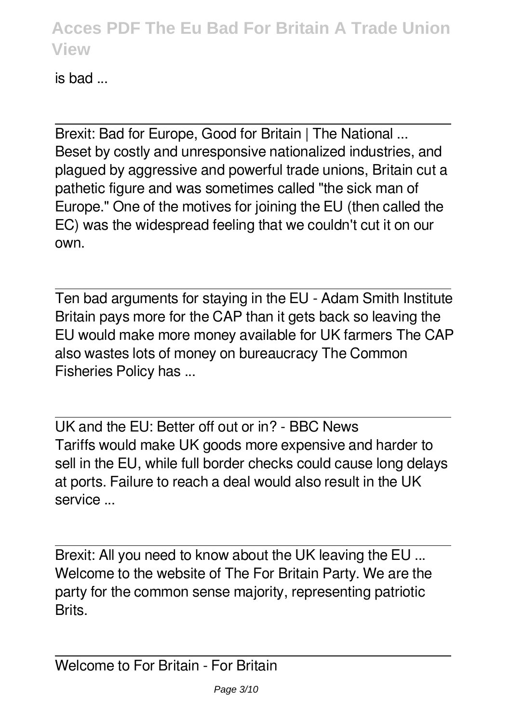is bad ...

Brexit: Bad for Europe, Good for Britain | The National ... Beset by costly and unresponsive nationalized industries, and plagued by aggressive and powerful trade unions, Britain cut a pathetic figure and was sometimes called "the sick man of Europe." One of the motives for joining the EU (then called the EC) was the widespread feeling that we couldn't cut it on our own.

Ten bad arguments for staying in the EU - Adam Smith Institute Britain pays more for the CAP than it gets back so leaving the EU would make more money available for UK farmers The CAP also wastes lots of money on bureaucracy The Common Fisheries Policy has ...

UK and the EU: Better off out or in? - BBC News Tariffs would make UK goods more expensive and harder to sell in the EU, while full border checks could cause long delays at ports. Failure to reach a deal would also result in the UK service ...

Brexit: All you need to know about the UK leaving the EU ... Welcome to the website of The For Britain Party. We are the party for the common sense majority, representing patriotic **Brite**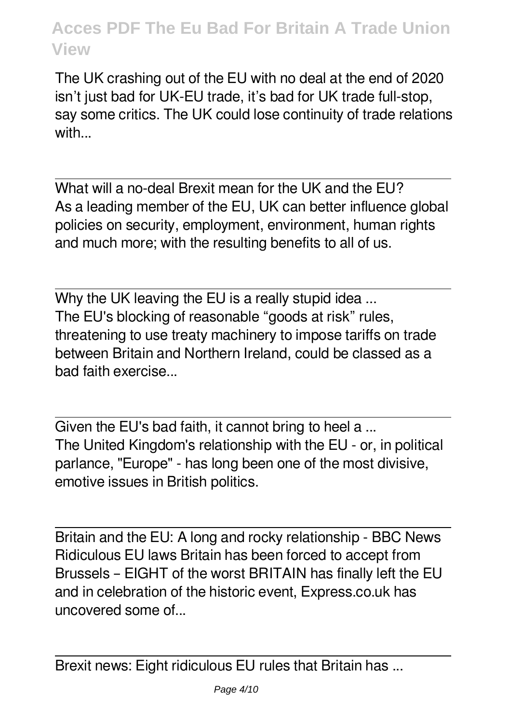The UK crashing out of the EU with no deal at the end of 2020 isn't just bad for UK-EU trade, it's bad for UK trade full-stop, say some critics. The UK could lose continuity of trade relations with

What will a no-deal Brexit mean for the UK and the EU? As a leading member of the EU, UK can better influence global policies on security, employment, environment, human rights and much more; with the resulting benefits to all of us.

Why the UK leaving the EU is a really stupid idea ... The EU's blocking of reasonable "goods at risk" rules, threatening to use treaty machinery to impose tariffs on trade between Britain and Northern Ireland, could be classed as a bad faith exercise...

Given the EU's bad faith, it cannot bring to heel a ... The United Kingdom's relationship with the EU - or, in political parlance, "Europe" - has long been one of the most divisive, emotive issues in British politics.

Britain and the EU: A long and rocky relationship - BBC News Ridiculous EU laws Britain has been forced to accept from Brussels – EIGHT of the worst BRITAIN has finally left the EU and in celebration of the historic event, Express.co.uk has uncovered some of...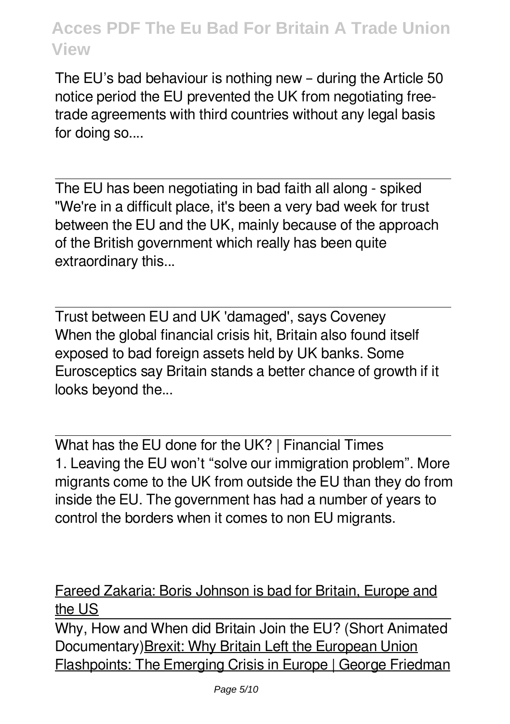The EU's bad behaviour is nothing new – during the Article 50 notice period the EU prevented the UK from negotiating freetrade agreements with third countries without any legal basis for doing so....

The EU has been negotiating in bad faith all along - spiked "We're in a difficult place, it's been a very bad week for trust between the EU and the UK, mainly because of the approach of the British government which really has been quite extraordinary this...

Trust between EU and UK 'damaged', says Coveney When the global financial crisis hit, Britain also found itself exposed to bad foreign assets held by UK banks. Some Eurosceptics say Britain stands a better chance of growth if it looks beyond the...

What has the EU done for the UK? | Financial Times 1. Leaving the EU won't "solve our immigration problem". More migrants come to the UK from outside the EU than they do from inside the EU. The government has had a number of years to control the borders when it comes to non EU migrants.

#### Fareed Zakaria: Boris Johnson is bad for Britain, Europe and the US

Why, How and When did Britain Join the EU? (Short Animated Documentary)Brexit: Why Britain Left the European Union Flashpoints: The Emerging Crisis in Europe | George Friedman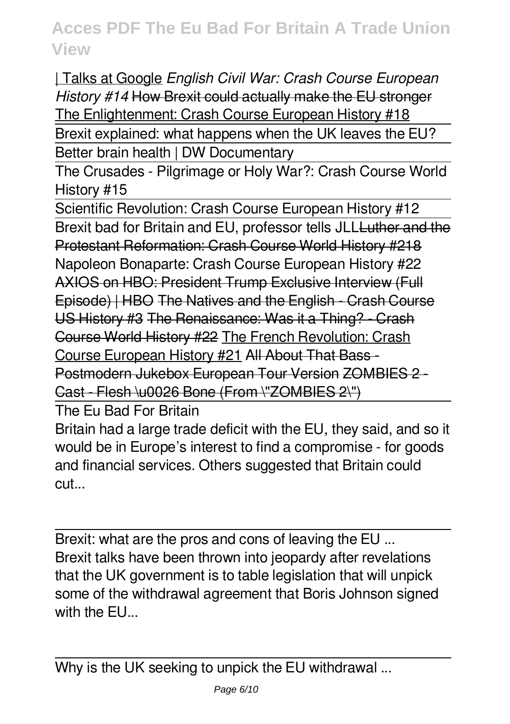| Talks at Google *English Civil War: Crash Course European History #14* How Brexit could actually make the EU stronger The Enlightenment: Crash Course European History #18 Brexit explained: what happens when the UK leaves the EU?

Better brain health | DW Documentary

The Crusades - Pilgrimage or Holy War?: Crash Course World History #15

Scientific Revolution: Crash Course European History #12 Brexit bad for Britain and EU, professor tells JLLLuther and the Protestant Reformation: Crash Course World History #218 Napoleon Bonaparte: Crash Course European History #22 AXIOS on HBO: President Trump Exclusive Interview (Full Episode) | HBO The Natives and the English - Crash Course US History #3 The Renaissance: Was it a Thing? - Crash Course World History #22 The French Revolution: Crash Course European History #21 All About That Bass - Postmodern Jukebox European Tour Version ZOMBIES 2 - Cast - Flesh \u0026 Bone (From \"ZOMBIES 2\")

The Eu Bad For Britain

Britain had a large trade deficit with the EU, they said, and so it would be in Europe's interest to find a compromise - for goods and financial services. Others suggested that Britain could cut...

Brexit: what are the pros and cons of leaving the EU ... Brexit talks have been thrown into jeopardy after revelations that the UK government is to table legislation that will unpick some of the withdrawal agreement that Boris Johnson signed with the FU.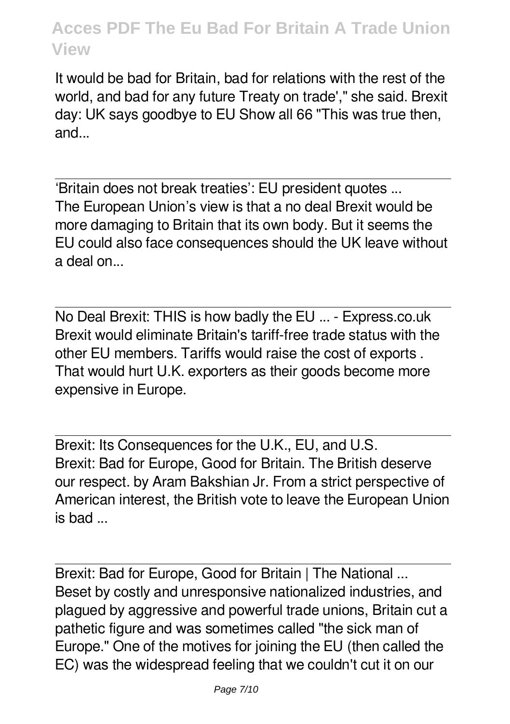It would be bad for Britain, bad for relations with the rest of the world, and bad for any future Treaty on trade'," she said. Brexit day: UK says goodbye to EU Show all 66 "This was true then, and...

'Britain does not break treaties': EU president quotes ... The European Union's view is that a no deal Brexit would be more damaging to Britain that its own body. But it seems the EU could also face consequences should the UK leave without a deal on...

No Deal Brexit: THIS is how badly the EU ... - Express.co.uk Brexit would eliminate Britain's tariff-free trade status with the other EU members. Tariffs would raise the cost of exports . That would hurt U.K. exporters as their goods become more expensive in Europe.

Brexit: Its Consequences for the U.K., EU, and U.S. Brexit: Bad for Europe, Good for Britain. The British deserve our respect. by Aram Bakshian Jr. From a strict perspective of American interest, the British vote to leave the European Union is bad ...

Brexit: Bad for Europe, Good for Britain | The National ... Beset by costly and unresponsive nationalized industries, and plagued by aggressive and powerful trade unions, Britain cut a pathetic figure and was sometimes called "the sick man of Europe." One of the motives for joining the EU (then called the EC) was the widespread feeling that we couldn't cut it on our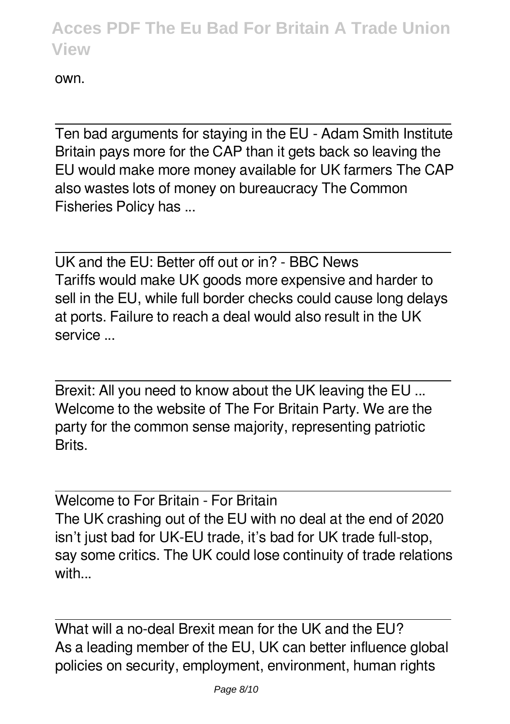own.

Ten bad arguments for staying in the EU - Adam Smith Institute Britain pays more for the CAP than it gets back so leaving the EU would make more money available for UK farmers The CAP also wastes lots of money on bureaucracy The Common Fisheries Policy has ...

UK and the EU: Better off out or in? - BBC News Tariffs would make UK goods more expensive and harder to sell in the EU, while full border checks could cause long delays at ports. Failure to reach a deal would also result in the UK service ...

Brexit: All you need to know about the UK leaving the EU ... Welcome to the website of The For Britain Party. We are the party for the common sense majority, representing patriotic **Brits** 

Welcome to For Britain - For Britain The UK crashing out of the EU with no deal at the end of 2020 isn't just bad for UK-EU trade, it's bad for UK trade full-stop, say some critics. The UK could lose continuity of trade relations with...

What will a no-deal Brexit mean for the UK and the FU? As a leading member of the EU, UK can better influence global policies on security, employment, environment, human rights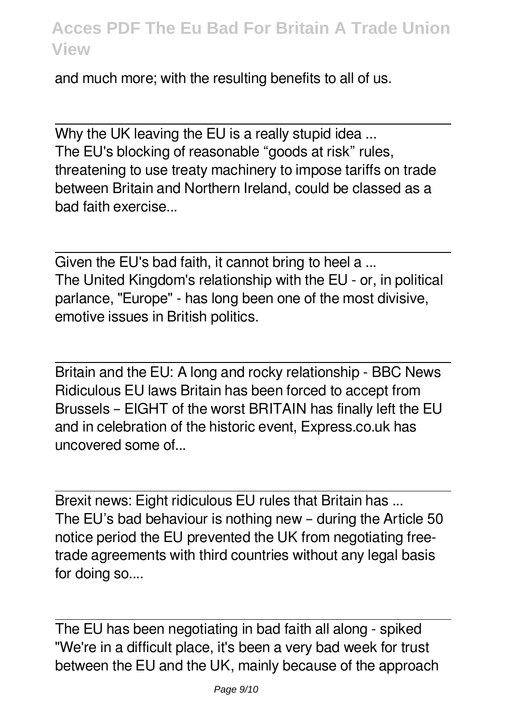and much more; with the resulting benefits to all of us.

Why the UK leaving the EU is a really stupid idea ... The EU's blocking of reasonable "goods at risk" rules, threatening to use treaty machinery to impose tariffs on trade between Britain and Northern Ireland, could be classed as a bad faith exercise...

Given the EU's bad faith, it cannot bring to heel a ... The United Kingdom's relationship with the EU - or, in political parlance, "Europe" - has long been one of the most divisive, emotive issues in British politics.

Britain and the EU: A long and rocky relationship - BBC News Ridiculous EU laws Britain has been forced to accept from Brussels – EIGHT of the worst BRITAIN has finally left the EU and in celebration of the historic event, Express.co.uk has uncovered some of...

Brexit news: Eight ridiculous EU rules that Britain has ... The EU's bad behaviour is nothing new – during the Article 50 notice period the EU prevented the UK from negotiating freetrade agreements with third countries without any legal basis for doing so....

The EU has been negotiating in bad faith all along - spiked "We're in a difficult place, it's been a very bad week for trust between the EU and the UK, mainly because of the approach